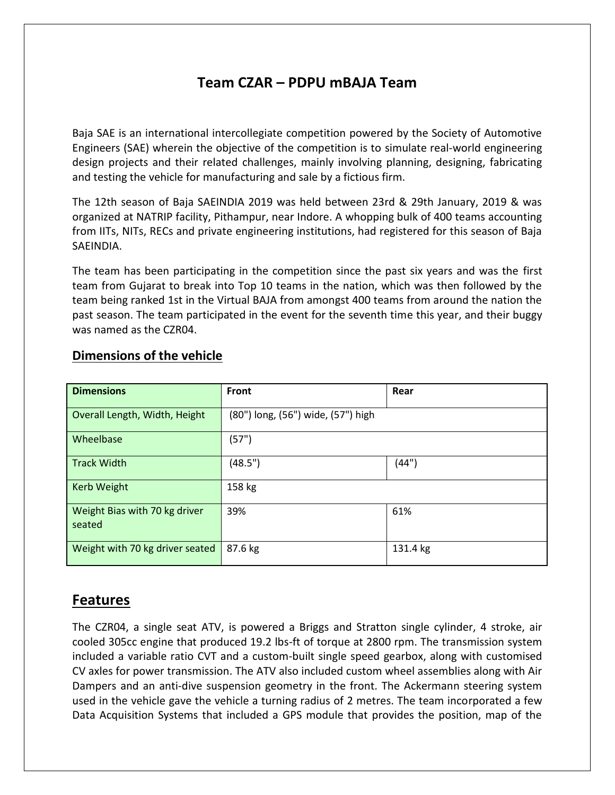## **Team CZAR – PDPU mBAJA Team**

Baja SAE is an international intercollegiate competition powered by the Society of Automotive Engineers (SAE) wherein the objective of the competition is to simulate real-world engineering design projects and their related challenges, mainly involving planning, designing, fabricating and testing the vehicle for manufacturing and sale by a fictious firm.

The 12th season of Baja SAEINDIA 2019 was held between 23rd & 29th January, 2019 & was organized at NATRIP facility, Pithampur, near Indore. A whopping bulk of 400 teams accounting from IITs, NITs, RECs and private engineering institutions, had registered for this season of Baja SAEINDIA.

The team has been participating in the competition since the past six years and was the first team from Gujarat to break into Top 10 teams in the nation, which was then followed by the team being ranked 1st in the Virtual BAJA from amongst 400 teams from around the nation the past season. The team participated in the event for the seventh time this year, and their buggy was named as the CZR04.

| <b>Dimensions</b>                       | <b>Front</b>                       | Rear     |
|-----------------------------------------|------------------------------------|----------|
| Overall Length, Width, Height           | (80") long, (56") wide, (57") high |          |
| Wheelbase                               | (57")                              |          |
| <b>Track Width</b>                      | (48.5")                            | (44")    |
| Kerb Weight                             | 158 kg                             |          |
| Weight Bias with 70 kg driver<br>seated | 39%                                | 61%      |
| Weight with 70 kg driver seated         | 87.6 kg                            | 131.4 kg |

#### **Dimensions of the vehicle**

## **Features**

The CZR04, a single seat ATV, is powered a Briggs and Stratton single cylinder, 4 stroke, air cooled 305cc engine that produced 19.2 lbs-ft of torque at 2800 rpm. The transmission system included a variable ratio CVT and a custom-built single speed gearbox, along with customised CV axles for power transmission. The ATV also included custom wheel assemblies along with Air Dampers and an anti-dive suspension geometry in the front. The Ackermann steering system used in the vehicle gave the vehicle a turning radius of 2 metres. The team incorporated a few Data Acquisition Systems that included a GPS module that provides the position, map of the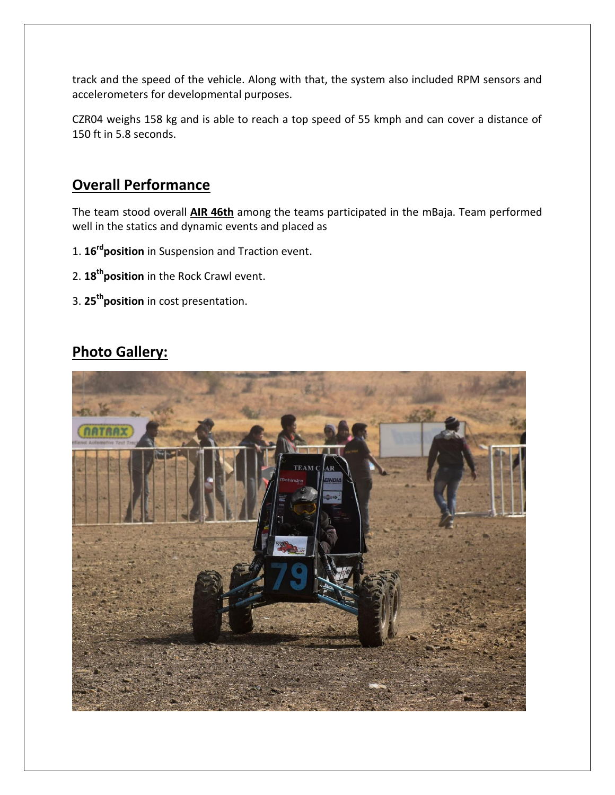track and the speed of the vehicle. Along with that, the system also included RPM sensors and accelerometers for developmental purposes.

CZR04 weighs 158 kg and is able to reach a top speed of 55 kmph and can cover a distance of 150 ft in 5.8 seconds.

#### **Overall Performance**

The team stood overall **AIR 46th** among the teams participated in the mBaja. Team performed well in the statics and dynamic events and placed as

- 1. **16rdposition** in Suspension and Traction event.
- 2. **18thposition** in the Rock Crawl event.
- 3. **25thposition** in cost presentation.

# **Photo Gallery:**